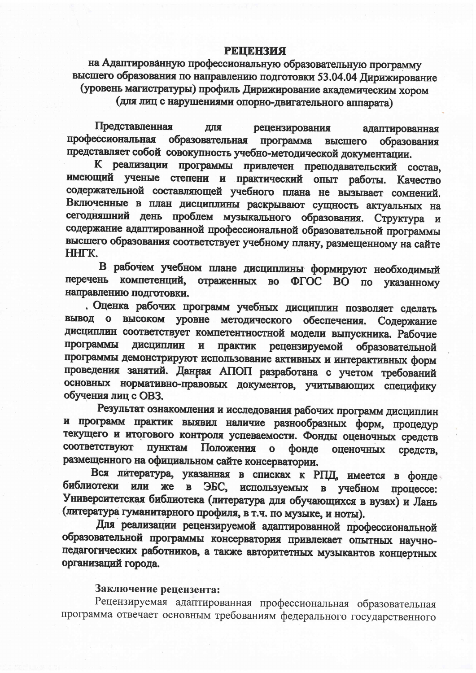## **РЕЦЕНЗИЯ**

на Адаптированную профессиональную образовательную программу высшего образования по направлению подготовки 53.04.04 Дирижирование (уровень магистратуры) профиль Дирижирование академическим хором (для лиц с нарушениями опорно-двигательного аппарата)

Представленная ДЛЯ рецензирования адаптированная профессиональная образовательная программа высшего образования представляет собой совокупность учебно-методической документации.

К реализации программы привлечен преподавательский состав, имеющий ученые степени и практический опыт работы. Качество содержательной составляющей учебного плана не вызывает сомнений. Включенные в план дисциплины раскрывают сущность актуальных на сегодняшний день проблем музыкального образования. Структура и содержание адаптированной профессиональной образовательной программы высшего образования соответствует учебному плану, размещенному на сайте HHTK.

В рабочем учебном плане дисциплины формируют необходимый перечень компетенций, отраженных во ФГОС ВО по указанному направлению подготовки.

. Оценка рабочих программ учебных дисциплин позволяет сделать вывод о высоком уровне методического обеспечения. Содержание дисциплин соответствует компетентностной модели выпускника. Рабочие программы дисциплин  $\mathbf{H}$ практик рецензируемой образовательной программы демонстрируют использование активных и интерактивных форм проведения занятий. Данная АПОП разработана с учетом требований основных нормативно-правовых документов, учитывающих специфику обучения лиц с OB3.

Результат ознакомления и исследования рабочих программ дисциплин и программ практик выявил наличие разнообразных форм, процедур текущего и итогового контроля успеваемости. Фонды оценочных средств соответствуют пунктам Положения  $\mathbf{o}$ фонде оценочных средств, размещенного на официальном сайте консерватории.

Вся литература, указанная в списках к РПД, имеется в фонде библиотеки или же  $\overline{B}$ ЭБС. используемых в учебном процессе: Университетская библиотека (литература для обучающихся в вузах) и Лань (литература гуманитарного профиля, в т.ч. по музыке, и ноты).

Для реализации рецензируемой адаптированной профессиональной образовательной программы консерватория привлекает опытных научнопедагогических работников, а также авторитетных музыкантов концертных организаций города.

## Заключение рецензента:

Рецензируемая адаптированная профессиональная образовательная программа отвечает основным требованиям федерального государственного